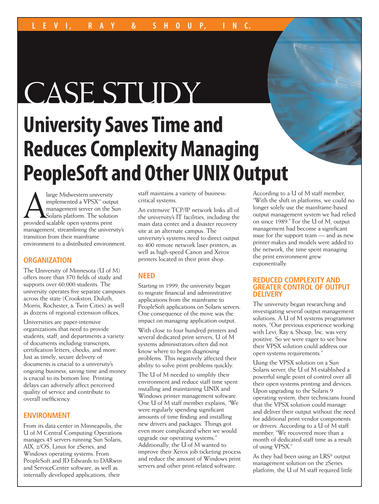# CASE STUDY

## **University Saves Time and Reduces Complexity Managing PeopleSoft and Other UNIX Output**

Alarge Midwestern university<br>
implemented a VPSX<sup>n4</sup> outp<br>
management server on the S<br>
Solaris platform. The solution<br>
provided scalable open systems print implemented a VPSX™ output management server on the Sun Solaris platform. The solution management, streamlining the university's transition from their mainframe environment to a distributed environment.

### **ORGANIZATION**

The University of Minnesota (U of M) offers more than 370 fields of study and supports over 60,000 students. The university operates five separate campuses across the state (Crookston, Duluth, Morris, Rochester, & Twin Cities) as well as dozens of regional extension offices.

Universities are paper-intensive organizations that need to provide students, staff, and departments a variety of documents including transcripts, certification letters, checks, and more. Just as timely, secure delivery of documents is crucial to a university's ongoing business, saving time and money is crucial to its bottom line. Printing delays can adversely affect perceived quality of service and contribute to overall inefficiency.

### **ENVIRONMENT**

From its data center in Minneapolis, the U of M Central Computing Operations manages 45 servers running Sun Solaris, AIX, z/OS, Linux for zSeries, and Windows operating systems. From PeopleSoft and JD Edwards to DARwin and ServiceCenter software, as well as internally developed applications, their

staff maintains a variety of businesscritical systems.

An extensive TCP/IP network links all of the university's IT facilities, including the main data center and a disaster recovery site at an alternate campus. The university's systems need to direct output to 400 remote network laser printers, as well as high-speed Canon and Xerox printers located in their print shop.

### **NEED**

Starting in 1999, the university began to migrate financial and administrative applications from the mainframe to PeopleSoft applications on Solaris servers. One consequence of the move was the impact on managing application output.

With close to four hundred printers and several dedicated print servers, U of M systems administrators often did not know where to begin diagnosing problems. This negatively affected their ability to solve print problems quickly.

The U of M needed to simplify their environment and reduce staff time spent installing and maintaining UNIX and Windows printer management software. One U of M staff member explains, "We were regularly spending significant amounts of time finding and installing new drivers and packages. Things got even more complicated when we would upgrade our operating systems." Additionally, the U of M wanted to improve their Xerox job ticketing process and reduce the amount of Windows print servers and other print-related software.

According to a U of M staff member, "With the shift in platforms, we could no longer solely use the mainframe-based output management system we had relied on since 1989." For the U of M, output management had become a significant issue for the support team — and as new printer makes and models were added to the network, the time spent managing the print environment grew exponentially.

### **REDUCED COMPLEXITY AND GREATER CONTROL OF OUTPUT DELIVERY**

The university began researching and investigating several output management solutions. A U of M systems programmer notes, "Our previous experience working with Levi, Ray & Shoup, Inc. was very positive. So we were eager to see how their VPSX solution could address our open systems requirements."

Using the VPSX solution on a Sun Solaris server, the U of M established a powerful single point of control over all their open systems printing and devices. Upon upgrading to the Solaris 9 operating system, their technicians found that the VPSX solution could manage and deliver their output without the need for additional print vendor components or drivers. According to a U of M staff member, "We recovered more than a month of dedicated staff time as a result of using VPSX."

As they had been using an LRS® output management solution on the zSeries platform, the U of M staff required little